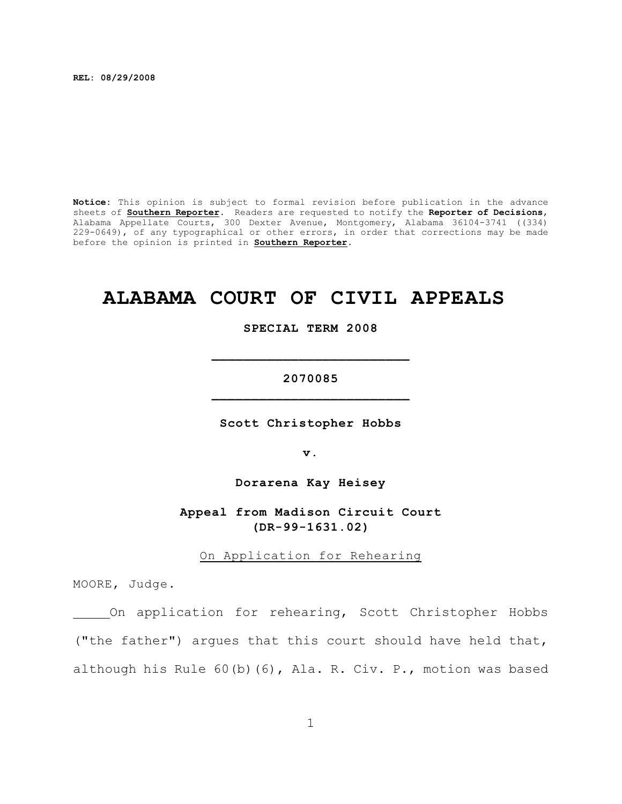**REL: 08/29/2008**

**Notice:** This opinion is subject to formal revision before publication in the advance sheets of **Southern Reporter**. Readers are requested to notify the **Reporter of Decisions**, Alabama Appellate Courts, 300 Dexter Avenue, Montgomery, Alabama 36104-3741 ((334) 229-0649), of any typographical or other errors, in order that corrections may be made before the opinion is printed in **Southern Reporter**.

# **ALABAMA COURT OF CIVIL APPEALS**

#### **SPECIAL TERM 2008**

**\_\_\_\_\_\_\_\_\_\_\_\_\_\_\_\_\_\_\_\_\_\_\_\_\_**

## **2070085 \_\_\_\_\_\_\_\_\_\_\_\_\_\_\_\_\_\_\_\_\_\_\_\_\_**

**Scott Christopher Hobbs**

**v.**

**Dorarena Kay Heisey**

### **Appeal from Madison Circuit Court (DR-99-1631.02)**

On Application for Rehearing

MOORE, Judge.

On application for rehearing, Scott Christopher Hobbs ("the father") argues that this court should have held that, although his Rule 60(b)(6), Ala. R. Civ. P., motion was based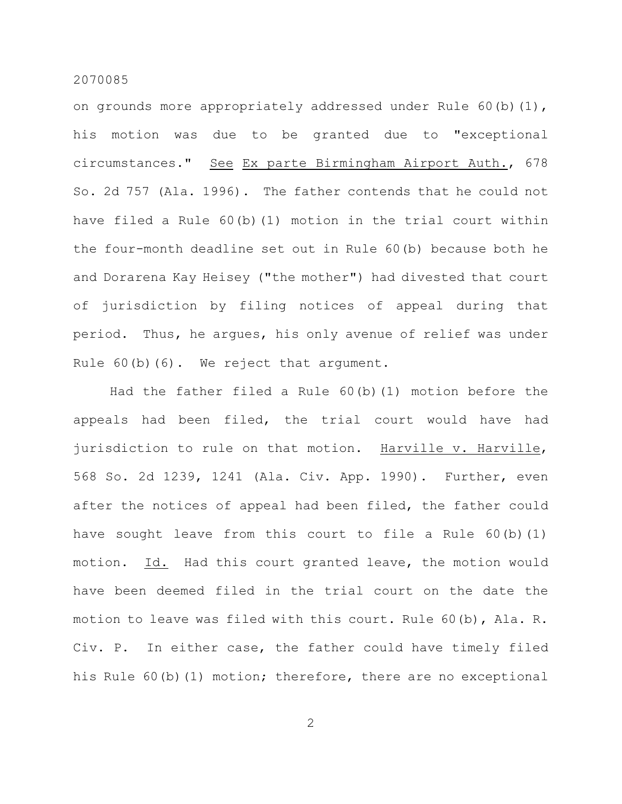#### 2070085

on grounds more appropriately addressed under Rule 60(b)(1), his motion was due to be granted due to "exceptional circumstances." See Ex parte Birmingham Airport Auth., 678 So. 2d 757 (Ala. 1996). The father contends that he could not have filed a Rule 60(b)(1) motion in the trial court within the four-month deadline set out in Rule 60(b) because both he and Dorarena Kay Heisey ("the mother") had divested that court of jurisdiction by filing notices of appeal during that period. Thus, he argues, his only avenue of relief was under Rule 60(b)(6). We reject that argument.

Had the father filed a Rule 60(b)(1) motion before the appeals had been filed, the trial court would have had jurisdiction to rule on that motion. Harville v. Harville, 568 So. 2d 1239, 1241 (Ala. Civ. App. 1990). Further, even after the notices of appeal had been filed, the father could have sought leave from this court to file a Rule 60(b)(1) motion. Id. Had this court granted leave, the motion would have been deemed filed in the trial court on the date the motion to leave was filed with this court. Rule 60(b), Ala. R. Civ. P. In either case, the father could have timely filed his Rule 60(b)(1) motion; therefore, there are no exceptional

2